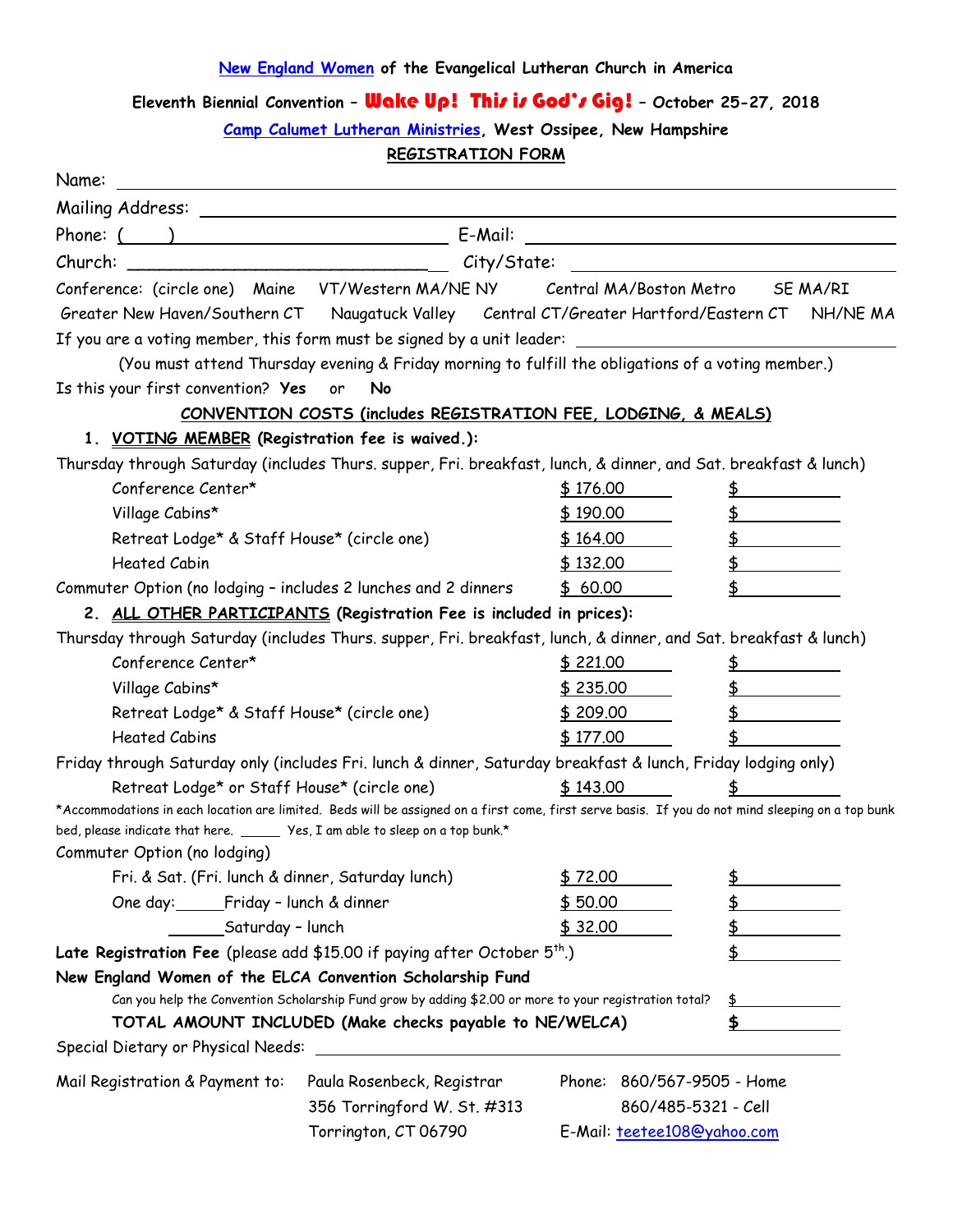## **[New England Women](http://www.newelca.org/) of the Evangelical Lutheran Church in America**

## **Eleventh Biennial Convention –** Wake Up! This is God's Gig! **– October 25-27, 2018**

**[Camp Calumet Lutheran Ministries,](http://www.calumet.org/) West Ossipee, New Hampshire**

**REGISTRATION FORM**

| Name:                                                                                                          |                                                                                                                                                   |                               |                         |
|----------------------------------------------------------------------------------------------------------------|---------------------------------------------------------------------------------------------------------------------------------------------------|-------------------------------|-------------------------|
|                                                                                                                |                                                                                                                                                   |                               |                         |
| Phone: $($ )                                                                                                   |                                                                                                                                                   |                               |                         |
| Church:                                                                                                        | City/State:                                                                                                                                       |                               |                         |
|                                                                                                                | Conference: (circle one) Maine VT/Western MA/NE NY Central MA/Boston Metro                                                                        |                               | SE MA/RI                |
|                                                                                                                | Greater New Haven/Southern CT Naugatuck Valley Central CT/Greater Hartford/Eastern CT NH/NE MA                                                    |                               |                         |
|                                                                                                                | If you are a voting member, this form must be signed by a unit leader: ____________________________                                               |                               |                         |
|                                                                                                                | (You must attend Thursday evening & Friday morning to fulfill the obligations of a voting member.)                                                |                               |                         |
| Is this your first convention? Yes or                                                                          | No                                                                                                                                                |                               |                         |
|                                                                                                                | CONVENTION COSTS (includes REGISTRATION FEE, LODGING, & MEALS)                                                                                    |                               |                         |
| 1. VOTING MEMBER (Registration fee is waived.):                                                                |                                                                                                                                                   |                               |                         |
|                                                                                                                | Thursday through Saturday (includes Thurs. supper, Fri. breakfast, lunch, & dinner, and Sat. breakfast & lunch)                                   |                               |                         |
| Conference Center*                                                                                             |                                                                                                                                                   | \$176.00                      |                         |
| Village Cabins*                                                                                                |                                                                                                                                                   | \$190.00                      |                         |
| Retreat Lodge* & Staff House* (circle one)                                                                     |                                                                                                                                                   | \$164.00                      | $\overline{P}$          |
| <b>Heated Cabin</b>                                                                                            |                                                                                                                                                   | \$132.00                      | \$                      |
| Commuter Option (no lodging - includes 2 lunches and 2 dinners                                                 |                                                                                                                                                   | \$60.00                       |                         |
|                                                                                                                | 2. ALL OTHER PARTICIPANTS (Registration Fee is included in prices):                                                                               |                               |                         |
|                                                                                                                | Thursday through Saturday (includes Thurs. supper, Fri. breakfast, lunch, & dinner, and Sat. breakfast & lunch)                                   |                               |                         |
| Conference Center*                                                                                             |                                                                                                                                                   | \$221.00                      | \$                      |
| Village Cabins*                                                                                                |                                                                                                                                                   | \$235.00                      | $\updownarrow$          |
| Retreat Lodge* & Staff House* (circle one)                                                                     |                                                                                                                                                   | \$209.00                      | \$                      |
| <b>Heated Cabins</b>                                                                                           |                                                                                                                                                   | \$177.00                      |                         |
|                                                                                                                | Friday through Saturday only (includes Fri. lunch & dinner, Saturday breakfast & lunch, Friday lodging only)                                      |                               |                         |
| Retreat Lodge* or Staff House* (circle one)                                                                    |                                                                                                                                                   | \$143.00                      |                         |
|                                                                                                                | *Accommodations in each location are limited. Beds will be assigned on a first come, first serve basis. If you do not mind sleeping on a top bunk |                               |                         |
| bed, please indicate that here. ______ Yes, I am able to sleep on a top bunk.*<br>Commuter Option (no lodging) |                                                                                                                                                   |                               |                         |
| Fri. & Sat. (Fri. lunch & dinner, Saturday lunch)                                                              |                                                                                                                                                   | \$72.00                       | <u>\$</u>               |
| One day: Friday - lunch & dinner                                                                               |                                                                                                                                                   | \$50.00                       | \$                      |
| Saturday - lunch                                                                                               |                                                                                                                                                   | \$32.00                       | \$                      |
| Late Registration Fee (please add \$15.00 if paying after October $5th$ .)                                     |                                                                                                                                                   |                               | \$                      |
| New England Women of the ELCA Convention Scholarship Fund                                                      |                                                                                                                                                   |                               |                         |
| Can you help the Convention Scholarship Fund grow by adding \$2.00 or more to your registration total?         |                                                                                                                                                   |                               | $\frac{1}{2}$           |
| TOTAL AMOUNT INCLUDED (Make checks payable to NE/WELCA)                                                        |                                                                                                                                                   |                               | $\overline{\mathbf{E}}$ |
| Special Dietary or Physical Needs:                                                                             |                                                                                                                                                   |                               |                         |
| Mail Registration & Payment to:                                                                                | Paula Rosenbeck, Registrar                                                                                                                        | Phone:<br>860/567-9505 - Home |                         |
|                                                                                                                | 356 Torringford W. St. #313                                                                                                                       | 860/485-5321 - Cell           |                         |
|                                                                                                                | Torrington, CT 06790                                                                                                                              | E-Mail: teetee108@yahoo.com   |                         |
|                                                                                                                |                                                                                                                                                   |                               |                         |